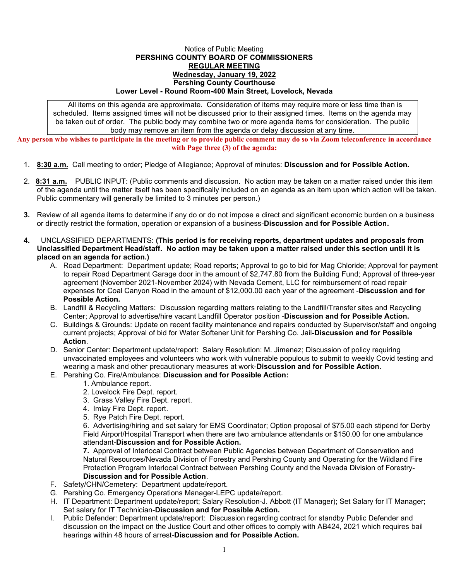## Notice of Public Meeting **PERSHING COUNTY BOARD OF COMMISSIONERS REGULAR MEETING Wednesday, January 19, 2022 Pershing County Courthouse Lower Level - Round Room-400 Main Street, Lovelock, Nevada**

All items on this agenda are approximate. Consideration of items may require more or less time than is scheduled. Items assigned times will not be discussed prior to their assigned times. Items on the agenda may be taken out of order. The public body may combine two or more agenda items for consideration. The public body may remove an item from the agenda or delay discussion at any time.

**Any person who wishes to participate in the meeting or to provide public comment may do so via Zoom teleconference in accordance with Page three (3) of the agenda:**

- 1. **8:30 a.m.** Call meeting to order; Pledge of Allegiance; Approval of minutes: **Discussion and for Possible Action.**
- 2. **8:31 a.m.** PUBLIC INPUT: (Public comments and discussion. No action may be taken on a matter raised under this item of the agenda until the matter itself has been specifically included on an agenda as an item upon which action will be taken. Public commentary will generally be limited to 3 minutes per person.)
- **3.** Review of all agenda items to determine if any do or do not impose a direct and significant economic burden on a business or directly restrict the formation, operation or expansion of a business-**Discussion and for Possible Action.**
- **4.** UNCLASSIFIED DEPARTMENTS: **(This period is for receiving reports, department updates and proposals from Unclassified Department Head/staff. No action may be taken upon a matter raised under this section until it is placed on an agenda for action.)** 
	- A. Road Department: Department update; Road reports; Approval to go to bid for Mag Chloride; Approval for payment to repair Road Department Garage door in the amount of \$2,747.80 from the Building Fund; Approval of three-year agreement (November 2021-November 2024) with Nevada Cement, LLC for reimbursement of road repair expenses for Coal Canyon Road in the amount of \$12,000.00 each year of the agreement -**Discussion and for Possible Action.**
	- B. Landfill & Recycling Matters: Discussion regarding matters relating to the Landfill/Transfer sites and Recycling Center; Approval to advertise/hire vacant Landfill Operator position -**Discussion and for Possible Action.**
	- C. Buildings & Grounds: Update on recent facility maintenance and repairs conducted by Supervisor/staff and ongoing current projects; Approval of bid for Water Softener Unit for Pershing Co. Jail-**Discussion and for Possible Action**.
	- D. Senior Center: Department update/report: Salary Resolution: M. Jimenez; Discussion of policy requiring unvaccinated employees and volunteers who work with vulnerable populous to submit to weekly Covid testing and wearing a mask and other precautionary measures at work-**Discussion and for Possible Action**.
	- E. Pershing Co. Fire/Ambulance: **Discussion and for Possible Action:**
		- 1. Ambulance report.
		- 2. Lovelock Fire Dept. report.
		- 3. Grass Valley Fire Dept. report.
		- 4. Imlay Fire Dept. report.
		- 5. Rye Patch Fire Dept. report.

6. Advertising/hiring and set salary for EMS Coordinator; Option proposal of \$75.00 each stipend for Derby Field Airport/Hospital Transport when there are two ambulance attendants or \$150.00 for one ambulance attendant-**Discussion and for Possible Action.** 

**7.** Approval of Interlocal Contract between Public Agencies between Department of Conservation and Natural Resources/Nevada Division of Forestry and Pershing County and Operating for the Wildland Fire Protection Program Interlocal Contract between Pershing County and the Nevada Division of Forestry-**Discussion and for Possible Action**.

- F. Safety/CHN/Cemetery: Department update/report.
- G. Pershing Co. Emergency Operations Manager-LEPC update/report.
- H. IT Department: Department update/report; Salary Resolution-J. Abbott (IT Manager); Set Salary for IT Manager; Set salary for IT Technician-**Discussion and for Possible Action.**
- I. Public Defender: Department update/report: Discussion regarding contract for standby Public Defender and discussion on the impact on the Justice Court and other offices to comply with AB424, 2021 which requires bail hearings within 48 hours of arrest-**Discussion and for Possible Action.**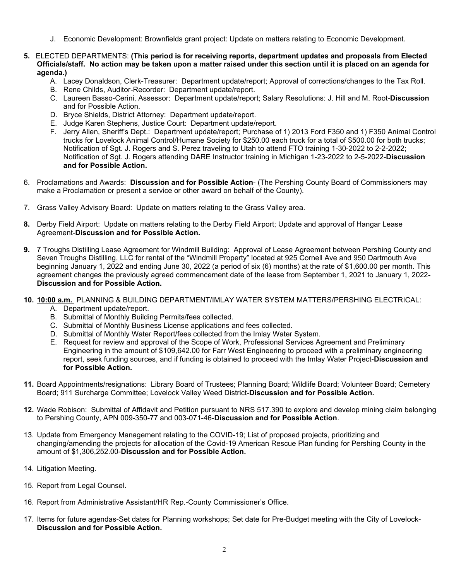- J. Economic Development: Brownfields grant project: Update on matters relating to Economic Development.
- **5.** ELECTED DEPARTMENTS: **(This period is for receiving reports, department updates and proposals from Elected Officials/staff. No action may be taken upon a matter raised under this section until it is placed on an agenda for agenda.)** 
	- A. Lacey Donaldson, Clerk-Treasurer: Department update/report; Approval of corrections/changes to the Tax Roll.
	- B. Rene Childs, Auditor-Recorder: Department update/report.
	- C. Laureen Basso-Cerini, Assessor: Department update/report; Salary Resolutions: J. Hill and M. Root-**Discussion** and for Possible Action.
	- D. Bryce Shields, District Attorney: Department update/report.
	- E. Judge Karen Stephens, Justice Court: Department update/report.
	- F. Jerry Allen, Sheriff's Dept.: Department update/report; Purchase of 1) 2013 Ford F350 and 1) F350 Animal Control trucks for Lovelock Animal Control/Humane Society for \$250.00 each truck for a total of \$500.00 for both trucks; Notification of Sgt. J. Rogers and S. Perez traveling to Utah to attend FTO training 1-30-2022 to 2-2-2022; Notification of Sgt. J. Rogers attending DARE Instructor training in Michigan 1-23-2022 to 2-5-2022-**Discussion and for Possible Action.**
- 6. Proclamations and Awards: **Discussion and for Possible Action** (The Pershing County Board of Commissioners may make a Proclamation or present a service or other award on behalf of the County).
- 7. Grass Valley Advisory Board: Update on matters relating to the Grass Valley area.
- **8.** Derby Field Airport: Update on matters relating to the Derby Field Airport; Update and approval of Hangar Lease Agreement-**Discussion and for Possible Action.**
- **9.** 7 Troughs Distilling Lease Agreement for Windmill Building: Approval of Lease Agreement between Pershing County and Seven Troughs Distilling, LLC for rental of the "Windmill Property" located at 925 Cornell Ave and 950 Dartmouth Ave beginning January 1, 2022 and ending June 30, 2022 (a period of six (6) months) at the rate of \$1,600.00 per month. This agreement changes the previously agreed commencement date of the lease from September 1, 2021 to January 1, 2022- **Discussion and for Possible Action.**
- **10. 10:00 a.m.** PLANNING & BUILDING DEPARTMENT/IMLAY WATER SYSTEM MATTERS/PERSHING ELECTRICAL: A. Department update/report.
	- B. Submittal of Monthly Building Permits/fees collected.
	- C. Submittal of Monthly Business License applications and fees collected.
	- D. Submittal of Monthly Water Report/fees collected from the Imlay Water System.
	- E. Request for review and approval of the Scope of Work, Professional Services Agreement and Preliminary Engineering in the amount of \$109,642.00 for Farr West Engineering to proceed with a preliminary engineering report, seek funding sources, and if funding is obtained to proceed with the Imlay Water Project-**Discussion and for Possible Action.**
- **11.** Board Appointments/resignations: Library Board of Trustees; Planning Board; Wildlife Board; Volunteer Board; Cemetery Board; 911 Surcharge Committee; Lovelock Valley Weed District-**Discussion and for Possible Action.**
- **12.** Wade Robison: Submittal of Affidavit and Petition pursuant to NRS 517.390 to explore and develop mining claim belonging to Pershing County, APN 009-350-77 and 003-071-46-**Discussion and for Possible Action**.
- 13. Update from Emergency Management relating to the COVID-19; List of proposed projects, prioritizing and changing/amending the projects for allocation of the Covid-19 American Rescue Plan funding for Pershing County in the amount of \$1,306,252.00-**Discussion and for Possible Action.**
- 14. Litigation Meeting.
- 15. Report from Legal Counsel.
- 16. Report from Administrative Assistant/HR Rep.-County Commissioner's Office.
- 17. Items for future agendas-Set dates for Planning workshops; Set date for Pre-Budget meeting with the City of Lovelock-**Discussion and for Possible Action.**